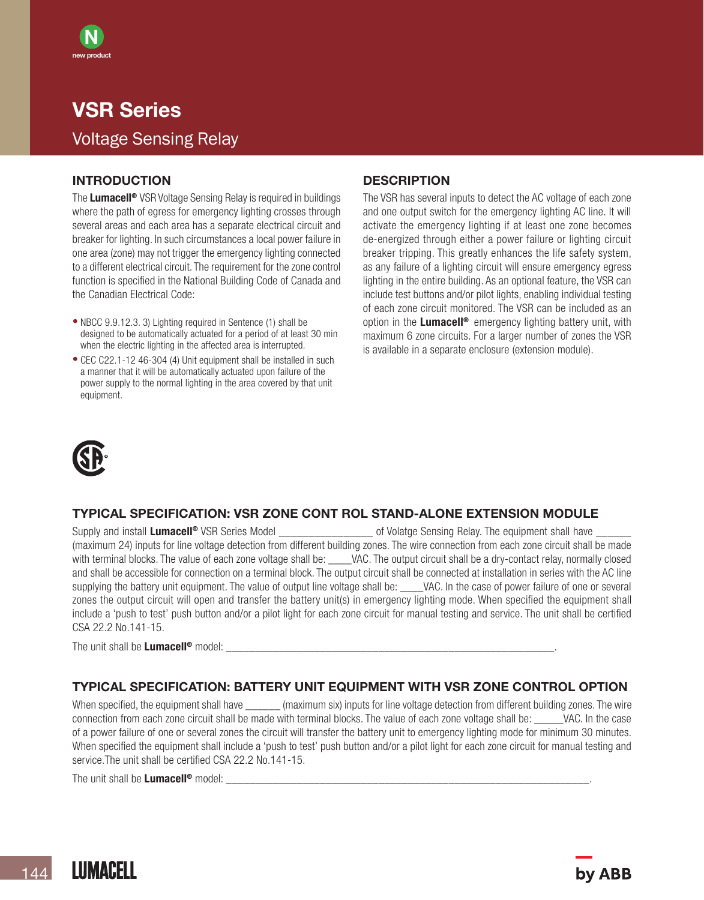## VSR Series Voltage Sensing Relay

#### INTRODUCTION

N new product

The **Lumacell<sup>®</sup>** VSR Voltage Sensing Relay is required in buildings where the path of egress for emergency lighting crosses through several areas and each area has a separate electrical circuit and breaker for lighting. In such circumstances a local power failure in one area (zone) may not trigger the emergency lighting connected to a different electrical circuit. The requirement for the zone control function is specified in the National Building Code of Canada and the Canadian Electrical Code:

- NBCC 9.9.12.3. 3) Lighting required in Sentence (1) shall be designed to be automatically actuated for a period of at least 30 min when the electric lighting in the affected area is interrupted.
- CEC C22.1-12 46-304 (4) Unit equipment shall be installed in such a manner that it will be automatically actuated upon failure of the power supply to the normal lighting in the area covered by that unit equipment.

#### **DESCRIPTION**

The VSR has several inputs to detect the AC voltage of each zone and one output switch for the emergency lighting AC line. It will activate the emergency lighting if at least one zone becomes de-energized through either a power failure or lighting circuit breaker tripping. This greatly enhances the life safety system, as any failure of a lighting circuit will ensure emergency egress lighting in the entire building. As an optional feature, the VSR can include test buttons and/or pilot lights, enabling individual testing of each zone circuit monitored. The VSR can be included as an option in the **Lumacell®** emergency lighting battery unit, with maximum 6 zone circuits. For a larger number of zones the VSR is available in a separate enclosure (extension module).



## TYPICAL SPECIFICATION: VSR ZONE CONT ROL STAND-ALONE EXTENSION MODULE

Supply and install Lumacell<sup>®</sup> VSR Series Model example the solution of Volatge Sensing Relay. The equipment shall have (maximum 24) inputs for line voltage detection from different building zones. The wire connection from each zone circuit shall be made with terminal blocks. The value of each zone voltage shall be: \_\_\_\_VAC. The output circuit shall be a dry-contact relay, normally closed and shall be accessible for connection on a terminal block. The output circuit shall be connected at installation in series with the AC line supplying the battery unit equipment. The value of output line voltage shall be: \_\_\_\_VAC. In the case of power failure of one or several zones the output circuit will open and transfer the battery unit(s) in emergency lighting mode. When specified the equipment shall include a 'push to test' push button and/or a pilot light for each zone circuit for manual testing and service. The unit shall be certified CSA 22.2 No.141-15.

The unit shall be Lumacell<sup>®</sup> model:

## TYPICAL SPECIFICATION: BATTERY UNIT EQUIPMENT WITH VSR ZONE CONTROL OPTION

When specified, the equipment shall have  $\qquad \qquad$  (maximum six) inputs for line voltage detection from different building zones. The wire connection from each zone circuit shall be made with terminal blocks. The value of each zone voltage shall be: VAC. In the case of a power failure of one or several zones the circuit will transfer the battery unit to emergency lighting mode for minimum 30 minutes. When specified the equipment shall include a 'push to test' push button and/or a pilot light for each zone circuit for manual testing and service.The unit shall be certified CSA 22.2 No.141-15.

The unit shall be Lumacell<sup>®</sup> model: